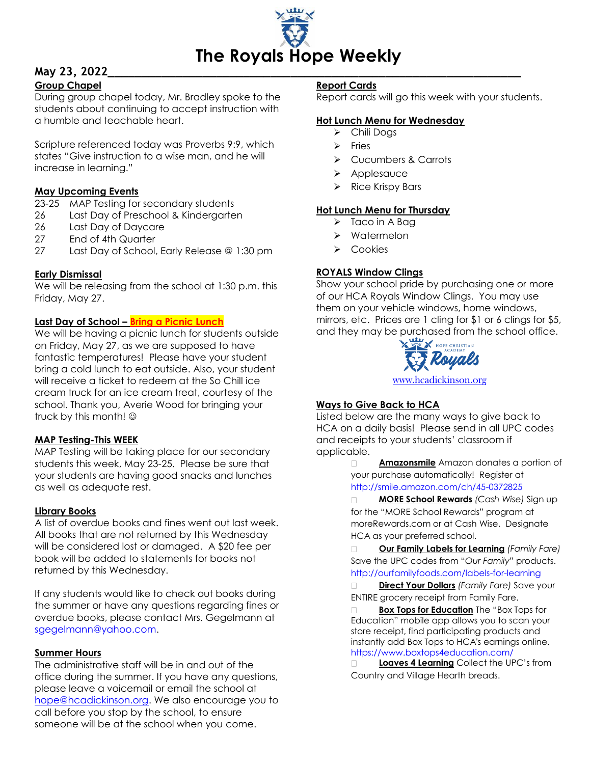

# **May 23, 2022\_\_\_\_\_\_\_\_\_\_\_\_\_\_\_\_\_\_\_\_\_\_\_\_\_\_\_\_\_\_\_\_\_\_\_\_\_\_\_\_\_\_\_\_\_\_\_\_\_\_\_\_\_\_\_\_\_\_\_\_\_**

# **Group Chapel**

During group chapel today, Mr. Bradley spoke to the students about continuing to accept instruction with a humble and teachable heart.

Scripture referenced today was Proverbs 9:9, which states "Give instruction to a wise man, and he will increase in learning."

# **May Upcoming Events**

23-25 MAP Testing for secondary students

- 26 Last Day of Preschool & Kindergarten
- 26 Last Day of Daycare
- 27 End of 4th Quarter
- 27 Last Day of School, Early Release @ 1:30 pm

# **Early Dismissal**

We will be releasing from the school at 1:30 p.m. this Friday, May 27.

# **Last Day of School – Bring a Picnic Lunch**

We will be having a picnic lunch for students outside on Friday, May 27, as we are supposed to have fantastic temperatures! Please have your student bring a cold lunch to eat outside. Also, your student will receive a ticket to redeem at the So Chill ice cream truck for an ice cream treat, courtesy of the school. Thank you, Averie Wood for bringing your truck by this month!

# **MAP Testing-This WEEK**

MAP Testing will be taking place for our secondary students this week, May 23-25. Please be sure that your students are having good snacks and lunches as well as adequate rest.

# **Library Books**

A list of overdue books and fines went out last week. All books that are not returned by this Wednesday will be considered lost or damaged. A \$20 fee per book will be added to statements for books not returned by this Wednesday.

If any students would like to check out books during the summer or have any questions regarding fines or overdue books, please contact Mrs. Gegelmann at [sgegelmann@yahoo.com.](mailto:sgegelmann@yahoo.com)

# **Summer Hours**

The administrative staff will be in and out of the office during the summer. If you have any questions, please leave a voicemail or email the school at [hope@hcadickinson.org.](mailto:hope@hcadickinson.org) We also encourage you to call before you stop by the school, to ensure someone will be at the school when you come.

# **Report Cards**

Report cards will go this week with your students.

#### **Hot Lunch Menu for Wednesday**

- > Chili Dogs
- $\triangleright$  Fries
- Cucumbers & Carrots
- $\triangleright$  Applesauce
- $\triangleright$  Rice Krispy Bars

#### **Hot Lunch Menu for Thursday**

- $\triangleright$  Taco in A Bag
- $\triangleright$  Watermelon
- $\triangleright$  Cookies

# **ROYALS Window Clings**

Show your school pride by purchasing one or more of our HCA Royals Window Clings. You may use them on your vehicle windows, home windows, mirrors, etc. Prices are 1 cling for \$1 or 6 clings for \$5, and they may be purchased from the school office.



[www.hcadickinson.org](http://www.hcadickinson.org/)

# **Ways to Give Back to HCA**

Listed below are the many ways to give back to HCA on a daily basis! Please send in all UPC codes and receipts to your students' classroom if applicable.

> **Amazonsmile** Amazon donates a portion of your purchase automatically! Register at <http://smile.amazon.com/ch/45-0372825>

 **MORE School Rewards** *(Cash Wise)* Sign up for the "MORE School Rewards" program at moreRewards.com or at Cash Wise. Designate HCA as your preferred school.

 **Our Family Labels for Learning** *(Family Fare)*  Save the UPC codes from "*Our Family"* products. <http://ourfamilyfoods.com/labels-for-learning>

 **Direct Your Dollars** *(Family Fare)* Save your ENTIRE grocery receipt from Family Fare.

 **Box Tops for Education** The "Box Tops for Education" mobile app allows you to scan your store receipt, find participating products and instantly add Box Tops to HCA's earnings online. <https://www.boxtops4education.com/>

**Loaves 4 Learning** Collect the UPC's from Country and Village Hearth breads.